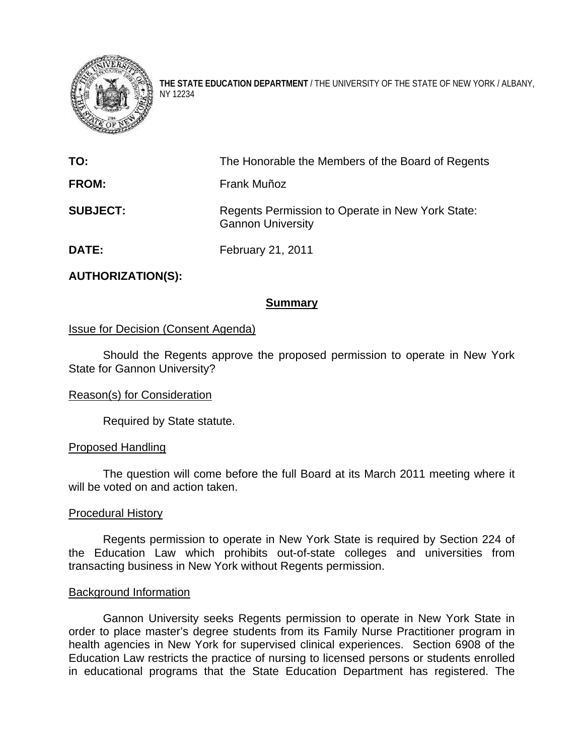

**THE STATE EDUCATION DEPARTMENT** / THE UNIVERSITY OF THE STATE OF NEW YORK / ALBANY, NY 12234

| TO:             | The Honorable the Members of the Board of Regents                            |
|-----------------|------------------------------------------------------------------------------|
| <b>FROM:</b>    | Frank Muñoz                                                                  |
| <b>SUBJECT:</b> | Regents Permission to Operate in New York State:<br><b>Gannon University</b> |
| <b>DATE:</b>    | February 21, 2011                                                            |

# **AUTHORIZATION(S):**

# **Summary**

# Issue for Decision (Consent Agenda)

Should the Regents approve the proposed permission to operate in New York State for Gannon University?

### Reason(s) for Consideration

Required by State statute.

### Proposed Handling

The question will come before the full Board at its March 2011 meeting where it will be voted on and action taken.

#### Procedural History

Regents permission to operate in New York State is required by Section 224 of the Education Law which prohibits out-of-state colleges and universities from transacting business in New York without Regents permission.

#### Background Information

Gannon University seeks Regents permission to operate in New York State in order to place master's degree students from its Family Nurse Practitioner program in health agencies in New York for supervised clinical experiences. Section 6908 of the Education Law restricts the practice of nursing to licensed persons or students enrolled in educational programs that the State Education Department has registered. The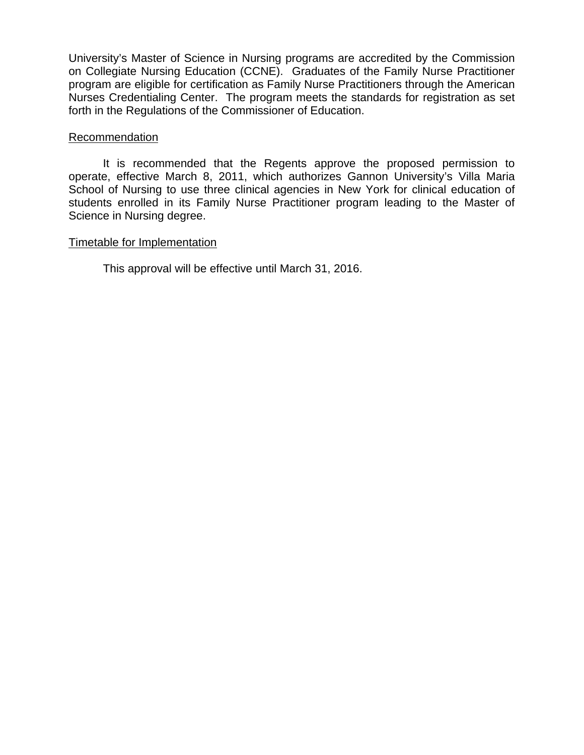University's Master of Science in Nursing programs are accredited by the Commission on Collegiate Nursing Education (CCNE). Graduates of the Family Nurse Practitioner program are eligible for certification as Family Nurse Practitioners through the American Nurses Credentialing Center. The program meets the standards for registration as set forth in the Regulations of the Commissioner of Education.

# Recommendation

It is recommended that the Regents approve the proposed permission to operate, effective March 8, 2011, which authorizes Gannon University's Villa Maria School of Nursing to use three clinical agencies in New York for clinical education of students enrolled in its Family Nurse Practitioner program leading to the Master of Science in Nursing degree.

# Timetable for Implementation

This approval will be effective until March 31, 2016.